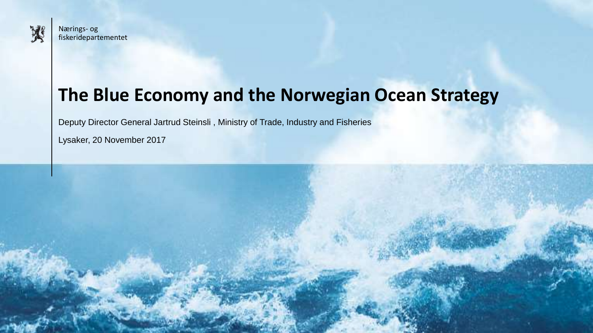

### **The Blue Economy and the Norwegian Ocean Strategy**

Deputy Director General Jartrud Steinsli , Ministry of Trade, Industry and Fisheries

Lysaker, 20 November 2017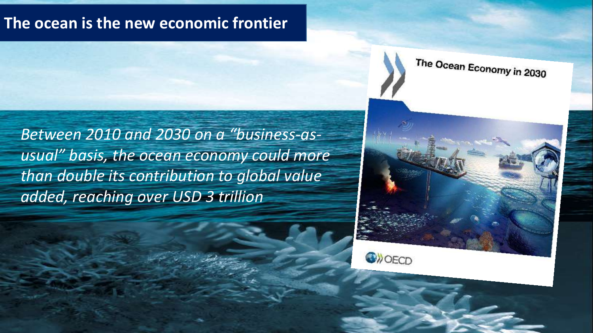#### **The ocean is the new economic frontier**

*Between 2010 and 2030 on a "business-asusual" basis, the ocean economy could more than double its contribution to global value added, reaching over USD 3 trillion*

The Ocean Economy in 2030



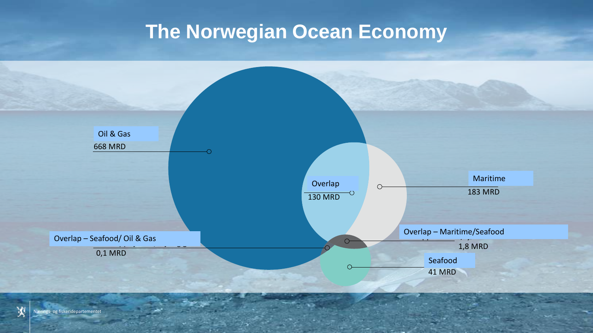## **The Norwegian Ocean Economy**

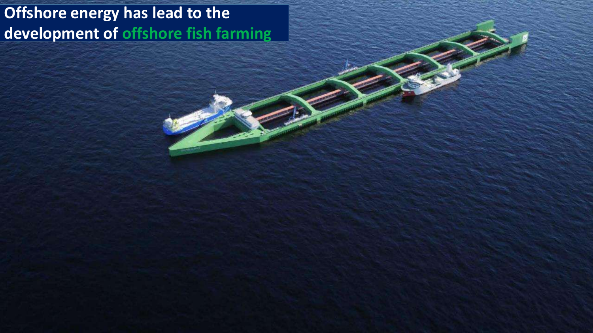### **Offshore energy has lead to the development of offshore fish farming**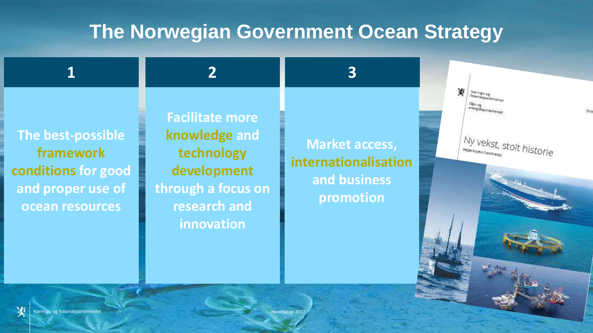## **The Norwegian Government Ocean Strategy**

**The best-possible framework conditions for good and proper use of ocean resources**

**Facilitate more knowledge and technology development through a focus on research and innovation**

**1 2 3**

**Market access, internationalisation and business promotion**

Ny vekst, stolt historie

W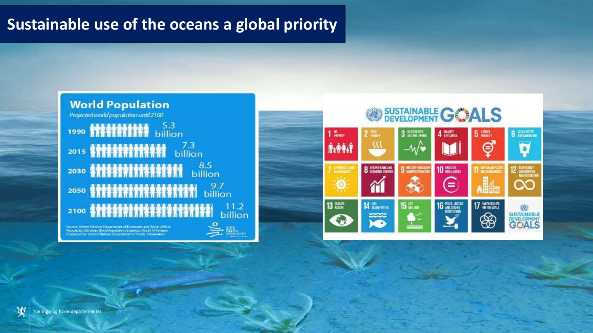#### **Sustainable use of the oceans a global priority**



Source: United Nations Department of Economic and Social Affairs.<br>Population Division: World Population Prospects: The 2015 Revision<br>Produced by: United Nations Department of Public Information





W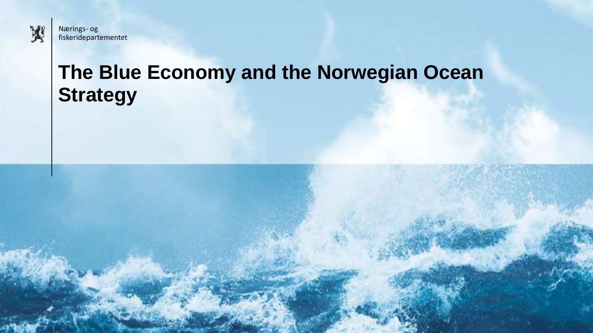

# **The Blue Economy and the Norwegian Ocean Strategy**